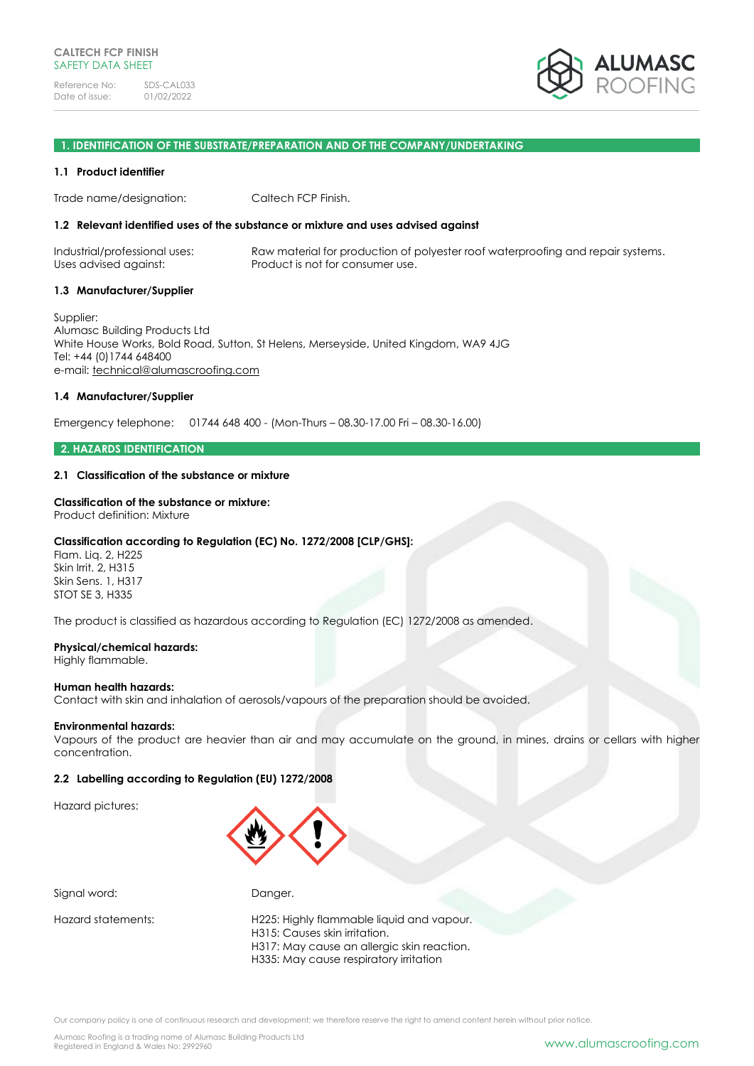

### **1. IDENTIFICATION OF THE SUBSTRATE/PREPARATION AND OF THE COMPANY/UNDERTAKING**

### **1.1 Product identifier**

Trade name/designation: Caltech FCP Finish.

## **1.2 Relevant identified uses of the substance or mixture and uses advised against**

Industrial/professional uses: Raw material for production of polyester roof waterproofing and repair systems. Uses advised against: Product is not for consumer use.

### **1.3 Manufacturer/Supplier**

Supplier: Alumasc Building Products Ltd White House Works, Bold Road, Sutton, St Helens, Merseyside, United Kingdom, WA9 4JG Tel: +44 (0)1744 648400 e-mail: [technical@alumascroofing.com](mailto:technical@alumascroofing.com)

## **1.4 Manufacturer/Supplier**

Emergency telephone: 01744 648 400 - (Mon-Thurs – 08.30-17.00 Fri – 08.30-16.00)

## **2. HAZARDS IDENTIFICATION**

## **2.1 Classification of the substance or mixture**

### **Classification of the substance or mixture:**

Product definition: Mixture

## **Classification according to Regulation (EC) No. 1272/2008 [CLP/GHS]:**

Flam. Liq. 2, H225 Skin Irrit. 2, H315 Skin Sens. 1, H317 STOT SE 3, H335

The product is classified as hazardous according to Regulation (EC) 1272/2008 as amended.

### **Physical/chemical hazards:**

Highly flammable.

### **Human health hazards:**

Contact with skin and inhalation of aerosols/vapours of the preparation should be avoided.

### **Environmental hazards:**

Vapours of the product are heavier than air and may accumulate on the ground, in mines, drains or cellars with higher concentration.

## **2.2 Labelling according to Regulation (EU) 1272/2008**

Hazard pictures:



Signal word: Danger.

Hazard statements: H225: Highly flammable liquid and vapour. H315: Causes skin irritation. H317: May cause an allergic skin reaction. H335: May cause respiratory irritation

Our company policy is one of continuous research and development; we therefore reserve the right to amend content herein without prior notice.

Alumasc Roofing is a trading name of Alumasc Building Products Ltd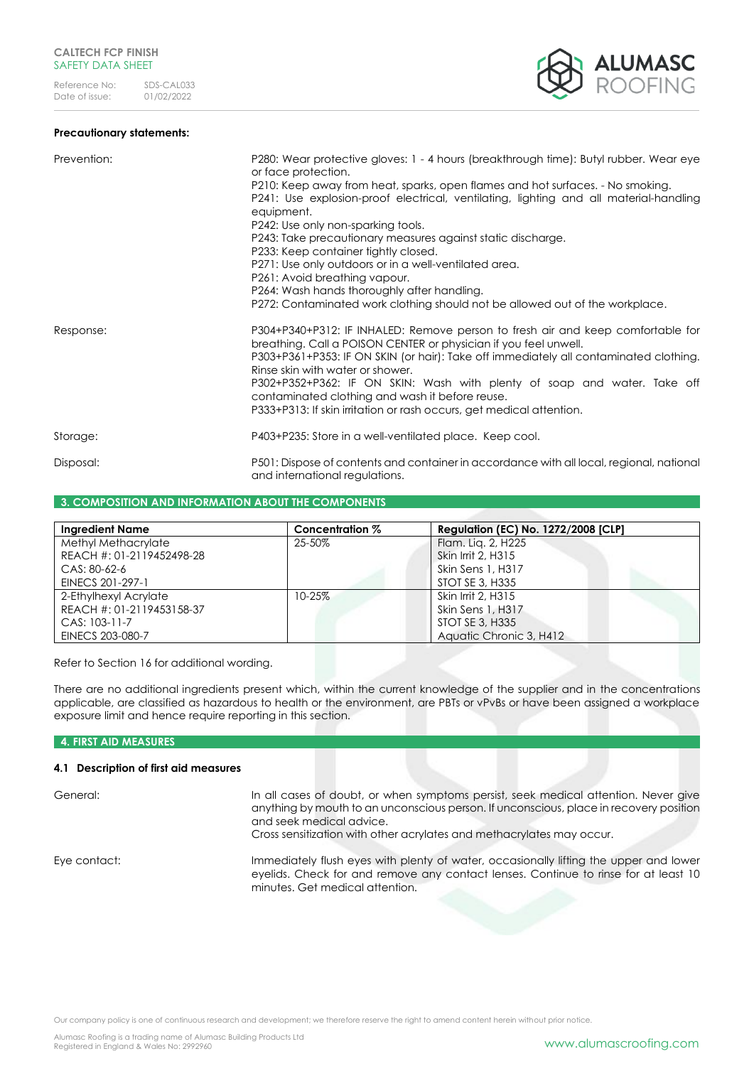

| Prevention: | P280: Wear protective gloves: 1 - 4 hours (breakthrough time): Butyl rubber. Wear eye<br>or face protection.<br>P210: Keep away from heat, sparks, open flames and hot surfaces. - No smoking.<br>P241: Use explosion-proof electrical, ventilating, lighting and all material-handling<br>equipment.<br>P242: Use only non-sparking tools.<br>P243: Take precautionary measures against static discharge.<br>P233: Keep container tightly closed.<br>P271: Use only outdoors or in a well-ventilated area.<br>P261: Avoid breathing vapour.<br>P264: Wash hands thoroughly after handling.<br>P272: Contaminated work clothing should not be allowed out of the workplace. |
|-------------|-----------------------------------------------------------------------------------------------------------------------------------------------------------------------------------------------------------------------------------------------------------------------------------------------------------------------------------------------------------------------------------------------------------------------------------------------------------------------------------------------------------------------------------------------------------------------------------------------------------------------------------------------------------------------------|
| Response:   | P304+P340+P312: IF INHALED: Remove person to fresh air and keep comfortable for<br>breathing. Call a POISON CENTER or physician if you feel unwell.<br>P303+P361+P353: IF ON SKIN (or hair): Take off immediately all contaminated clothing.<br>Rinse skin with water or shower.<br>P302+P352+P362: IF ON SKIN: Wash with plenty of soap and water. Take off<br>contaminated clothing and wash it before reuse.<br>P333+P313: If skin irritation or rash occurs, get medical attention.                                                                                                                                                                                     |
| Storage:    | P403+P235: Store in a well-ventilated place. Keep cool.                                                                                                                                                                                                                                                                                                                                                                                                                                                                                                                                                                                                                     |
| Disposal:   | P501: Dispose of contents and container in accordance with all local, regional, national<br>and international regulations.                                                                                                                                                                                                                                                                                                                                                                                                                                                                                                                                                  |

### **3. COMPOSITION AND INFORMATION ABOUT THE COMPONENTS**

| <b>Ingredient Name</b>    | Concentration % | <b>Regulation (EC) No. 1272/2008 [CLP]</b> |
|---------------------------|-----------------|--------------------------------------------|
| Methyl Methacrylate       | 25-50%          | Flam. Lig. 2, H225                         |
| REACH #: 01-2119452498-28 |                 | Skin Irrit 2, H315                         |
| CAS: 80-62-6              |                 | Skin Sens 1, H317                          |
| EINECS 201-297-1          |                 | STOT SE 3, H335                            |
| 2-Ethylhexyl Acrylate     | $10 - 25%$      | Skin Irrit 2, H315                         |
| REACH #: 01-2119453158-37 |                 | Skin Sens 1, H317                          |
| CAS: 103-11-7             |                 | STOT SE 3, H335                            |
| EINECS 203-080-7          |                 | Aquatic Chronic 3, H412                    |

Refer to Section 16 for additional wording.

There are no additional ingredients present which, within the current knowledge of the supplier and in the concentrations applicable, are classified as hazardous to health or the environment, are PBTs or vPvBs or have been assigned a workplace exposure limit and hence require reporting in this section.

# **4. FIRST AID MEASURES**

# **4.1 Description of first aid measures**

| General:     | In all cases of doubt, or when symptoms persist, seek medical attention. Never give<br>anything by mouth to an unconscious person. If unconscious, place in recovery position<br>and seek medical advice.<br>Cross sensitization with other acrylates and methacrylates may occur. |
|--------------|------------------------------------------------------------------------------------------------------------------------------------------------------------------------------------------------------------------------------------------------------------------------------------|
| Eye contact: | Immediately flush eyes with plenty of water, occasionally lifting the upper and lower<br>eyelids. Check for and remove any contact lenses. Continue to rinse for at least 10<br>minutes. Get medical attention.                                                                    |

Our company policy is one of continuous research and development; we therefore reserve the right to amend content herein without prior notice.

ALUMASC<br>Roofing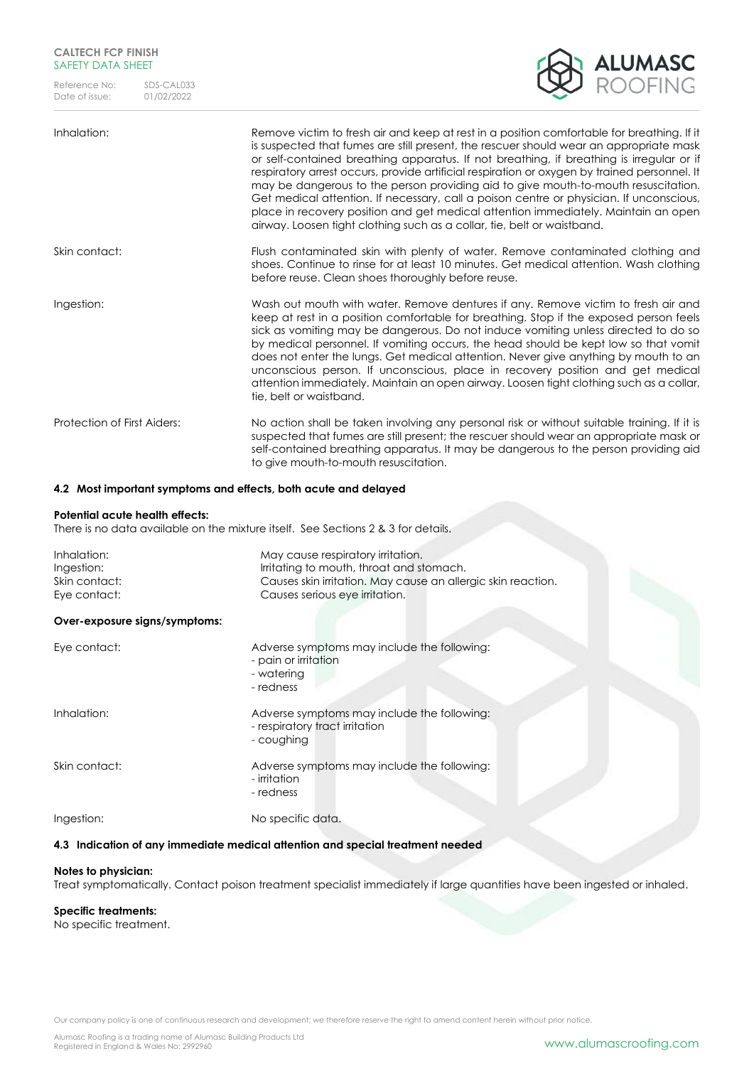# **CALTECH FCP FINISH** SAFETY DATA SHEET

Reference No: SDS-CAL033<br>Date of issue: 01/02/2022 Date of issue:



| Inhalation:                 | Remove victim to fresh air and keep at rest in a position comfortable for breathing. If it<br>is suspected that fumes are still present, the rescuer should wear an appropriate mask<br>or self-contained breathing apparatus. If not breathing, if breathing is irregular or if<br>respiratory arrest occurs, provide artificial respiration or oxygen by trained personnel. It<br>may be dangerous to the person providing aid to give mouth-to-mouth resuscitation.<br>Get medical attention. If necessary, call a poison centre or physician. If unconscious,<br>place in recovery position and get medical attention immediately. Maintain an open<br>airway. Loosen tight clothing such as a collar, tie, belt or waistband. |
|-----------------------------|------------------------------------------------------------------------------------------------------------------------------------------------------------------------------------------------------------------------------------------------------------------------------------------------------------------------------------------------------------------------------------------------------------------------------------------------------------------------------------------------------------------------------------------------------------------------------------------------------------------------------------------------------------------------------------------------------------------------------------|
| Skin contact:               | Flush contaminated skin with plenty of water. Remove contaminated clothing and<br>shoes. Continue to rinse for at least 10 minutes. Get medical attention. Wash clothing<br>before reuse. Clean shoes thoroughly before reuse.                                                                                                                                                                                                                                                                                                                                                                                                                                                                                                     |
| Ingestion:                  | Wash out mouth with water. Remove dentures if any. Remove victim to fresh air and<br>keep at rest in a position comfortable for breathing. Stop if the exposed person feels<br>sick as vomiting may be dangerous. Do not induce vomiting unless directed to do so<br>by medical personnel. If vomiting occurs, the head should be kept low so that vomit<br>does not enter the lungs. Get medical attention. Never give anything by mouth to an<br>unconscious person. If unconscious, place in recovery position and get medical<br>attention immediately. Maintain an open airway. Loosen tight clothing such as a collar,<br>tie, belt or waistband.                                                                            |
| Protection of First Aiders: | No action shall be taken involving any personal risk or without suitable training. If it is<br>suspected that fumes are still present; the rescuer should wear an appropriate mask or<br>self-contained breathing apparatus. It may be dangerous to the person providing aid<br>to give mouth-to-mouth resuscitation.                                                                                                                                                                                                                                                                                                                                                                                                              |

## **4.2 Most important symptoms and effects, both acute and delayed**

### **Potential acute health effects:**

There is no data available on the mixture itself. See Sections 2 & 3 for details.

| Inhalation:<br>Ingestion:<br>Skin contact:<br>Eye contact: | May cause respiratory irritation.<br>Irritating to mouth, throat and stomach.<br>Causes skin irritation. May cause an allergic skin reaction.<br>Causes serious eye irritation. |
|------------------------------------------------------------|---------------------------------------------------------------------------------------------------------------------------------------------------------------------------------|
| Over-exposure signs/symptoms:                              |                                                                                                                                                                                 |
| Eye contact:                                               | Adverse symptoms may include the following:<br>- pain or irritation<br>- watering<br>- redness                                                                                  |
| Inhalation:                                                | Adverse symptoms may include the following:<br>- respiratory tract irritation<br>- coughing                                                                                     |
| Skin contact:                                              | Adverse symptoms may include the following:<br>- irritation<br>- redness                                                                                                        |
| Ingestion:                                                 | No specific data.                                                                                                                                                               |
|                                                            | 4.3 Indication of any immediate medical attention and special treatment needed                                                                                                  |

### **Notes to physician:**

Treat symptomatically. Contact poison treatment specialist immediately if large quantities have been ingested or inhaled.

## **Specific treatments:**

No specific treatment.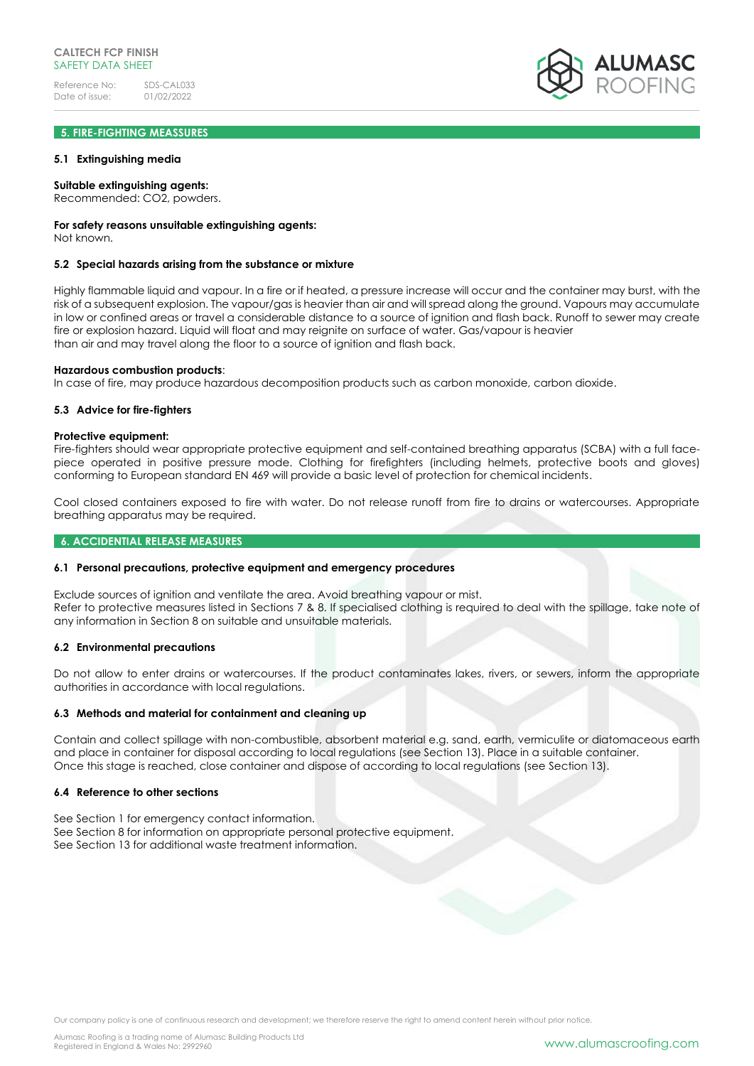# **5. FIRE-FIGHTING MEASSURES**

### **5.1 Extinguishing media**

### **Suitable extinguishing agents:**

Recommended: CO2, powders.

### **For safety reasons unsuitable extinguishing agents:**

Not known.

### **5.2 Special hazards arising from the substance or mixture**

Highly flammable liquid and vapour. In a fire or if heated, a pressure increase will occur and the container may burst, with the risk of a subsequent explosion. The vapour/gas is heavier than air and will spread along the ground. Vapours may accumulate in low or confined areas or travel a considerable distance to a source of ignition and flash back. Runoff to sewer may create fire or explosion hazard. Liquid will float and may reignite on surface of water. Gas/vapour is heavier than air and may travel along the floor to a source of ignition and flash back.

### **Hazardous combustion products**:

In case of fire, may produce hazardous decomposition products such as carbon monoxide, carbon dioxide.

### **5.3 Advice for fire-fighters**

#### **Protective equipment:**

Fire-fighters should wear appropriate protective equipment and self-contained breathing apparatus (SCBA) with a full facepiece operated in positive pressure mode. Clothing for firefighters (including helmets, protective boots and gloves) conforming to European standard EN 469 will provide a basic level of protection for chemical incidents.

Cool closed containers exposed to fire with water. Do not release runoff from fire to drains or watercourses. Appropriate breathing apparatus may be required.

### **6. ACCIDENTIAL RELEASE MEASURES**

### **6.1 Personal precautions, protective equipment and emergency procedures**

Exclude sources of ignition and ventilate the area. Avoid breathing vapour or mist. Refer to protective measures listed in Sections 7 & 8. If specialised clothing is required to deal with the spillage, take note of any information in Section 8 on suitable and unsuitable materials.

### **6.2 Environmental precautions**

Do not allow to enter drains or watercourses. If the product contaminates lakes, rivers, or sewers, inform the appropriate authorities in accordance with local regulations.

## **6.3 Methods and material for containment and cleaning up**

Contain and collect spillage with non-combustible, absorbent material e.g. sand, earth, vermiculite or diatomaceous earth and place in container for disposal according to local regulations (see Section 13). Place in a suitable container. Once this stage is reached, close container and dispose of according to local regulations (see Section 13).

### **6.4 Reference to other sections**

See Section 1 for emergency contact information. See Section 8 for information on appropriate personal protective equipment. See Section 13 for additional waste treatment information.

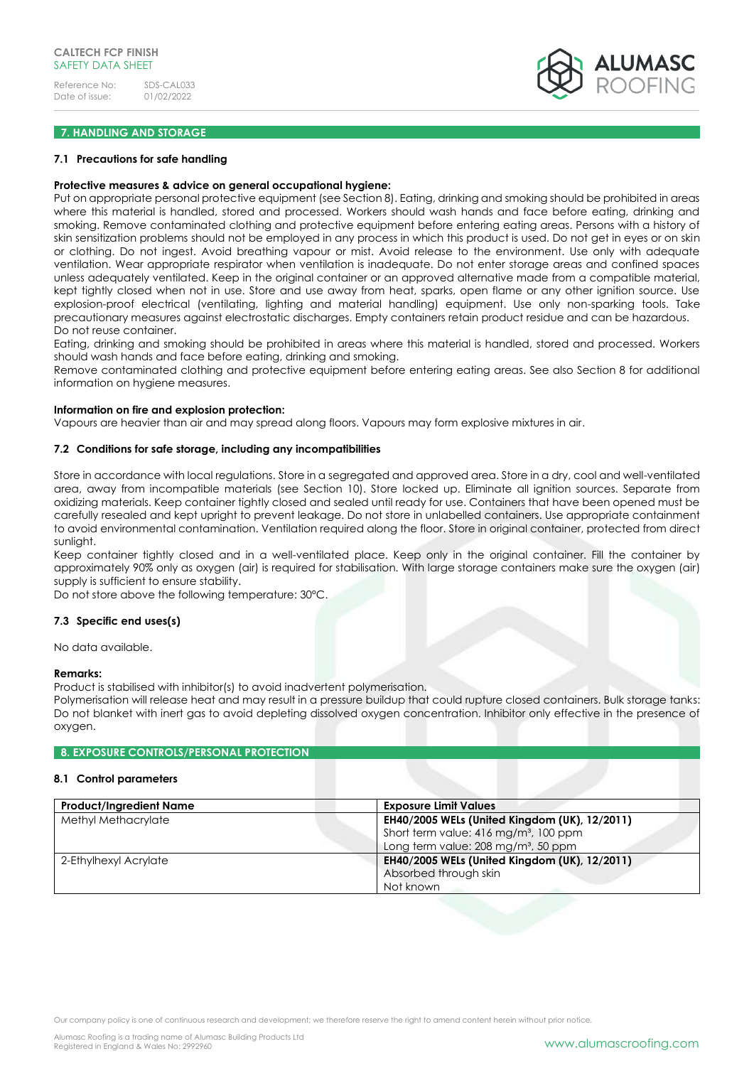

# **7. HANDLING AND STORAGE**

### **7.1 Precautions for safe handling**

### **Protective measures & advice on general occupational hygiene:**

Put on appropriate personal protective equipment (see Section 8). Eating, drinking and smoking should be prohibited in areas where this material is handled, stored and processed. Workers should wash hands and face before eating, drinking and smoking. Remove contaminated clothing and protective equipment before entering eating areas. Persons with a history of skin sensitization problems should not be employed in any process in which this product is used. Do not get in eyes or on skin or clothing. Do not ingest. Avoid breathing vapour or mist. Avoid release to the environment. Use only with adequate ventilation. Wear appropriate respirator when ventilation is inadequate. Do not enter storage areas and confined spaces unless adequately ventilated. Keep in the original container or an approved alternative made from a compatible material, kept tightly closed when not in use. Store and use away from heat, sparks, open flame or any other ignition source. Use explosion-proof electrical (ventilating, lighting and material handling) equipment. Use only non-sparking tools. Take precautionary measures against electrostatic discharges. Empty containers retain product residue and can be hazardous. Do not reuse container.

Eating, drinking and smoking should be prohibited in areas where this material is handled, stored and processed. Workers should wash hands and face before eating, drinking and smoking.

Remove contaminated clothing and protective equipment before entering eating areas. See also Section 8 for additional information on hygiene measures.

### **Information on fire and explosion protection:**

Vapours are heavier than air and may spread along floors. Vapours may form explosive mixtures in air.

# **7.2 Conditions for safe storage, including any incompatibilities**

Store in accordance with local regulations. Store in a segregated and approved area. Store in a dry, cool and well-ventilated area, away from incompatible materials (see Section 10). Store locked up. Eliminate all ignition sources. Separate from oxidizing materials. Keep container tightly closed and sealed until ready for use. Containers that have been opened must be carefully resealed and kept upright to prevent leakage. Do not store in unlabelled containers. Use appropriate containment to avoid environmental contamination. Ventilation required along the floor. Store in original container, protected from direct sunlight.

Keep container tightly closed and in a well-ventilated place. Keep only in the original container. Fill the container by approximately 90% only as oxygen (air) is required for stabilisation. With large storage containers make sure the oxygen (air) supply is sufficient to ensure stability.

Do not store above the following temperature: 30°C.

### **7.3 Specific end uses(s)**

No data available.

#### **Remarks:**

Product is stabilised with inhibitor(s) to avoid inadvertent polymerisation.

Polymerisation will release heat and may result in a pressure buildup that could rupture closed containers. Bulk storage tanks: Do not blanket with inert gas to avoid depleting dissolved oxygen concentration. Inhibitor only effective in the presence of oxygen.

### **8. EXPOSURE CONTROLS/PERSONAL PROTECTION**

### **8.1 Control parameters**

| <b>Product/Ingredient Name</b> | <b>Exposure Limit Values</b>                      |
|--------------------------------|---------------------------------------------------|
| Methyl Methacrylate            | EH40/2005 WELs (United Kingdom (UK), 12/2011)     |
|                                |                                                   |
|                                | Short term value: 416 mg/m <sup>3</sup> , 100 ppm |
|                                | Long term value: 208 mg/m <sup>3</sup> , 50 ppm   |
| 2-Ethylhexyl Acrylate          | EH40/2005 WELs (United Kingdom (UK), 12/2011)     |
|                                | Absorbed through skin                             |
|                                | Not known                                         |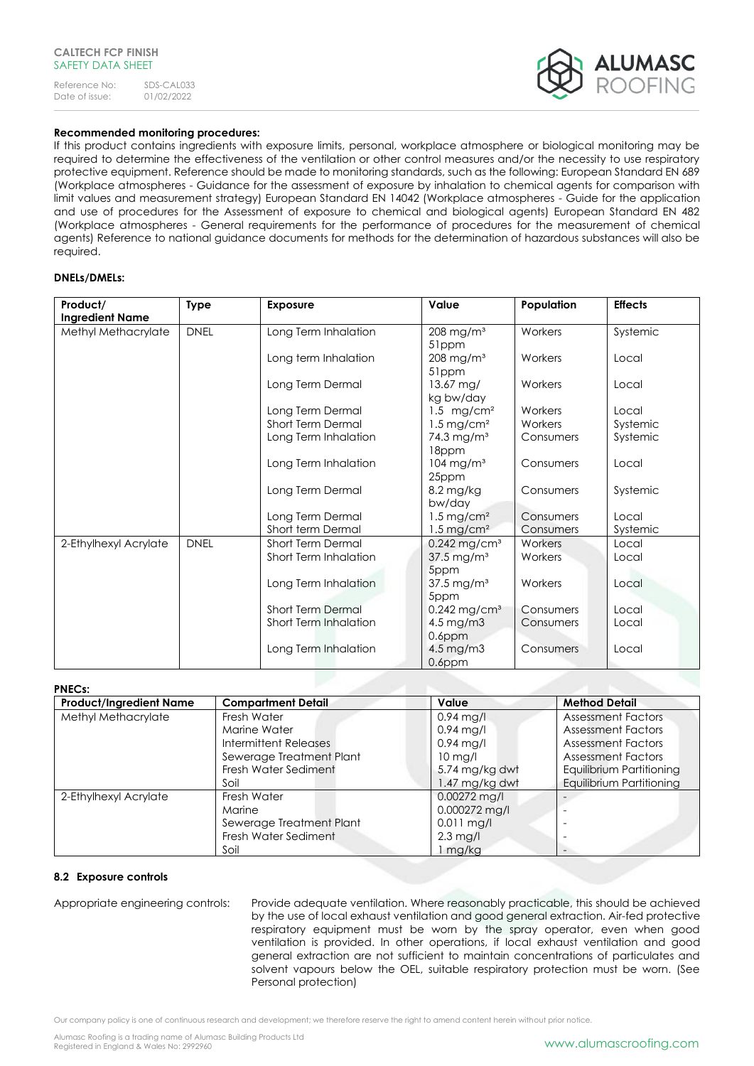

# **Recommended monitoring procedures:**

If this product contains ingredients with exposure limits, personal, workplace atmosphere or biological monitoring may be required to determine the effectiveness of the ventilation or other control measures and/or the necessity to use respiratory protective equipment. Reference should be made to monitoring standards, such as the following: European Standard EN 689 (Workplace atmospheres - Guidance for the assessment of exposure by inhalation to chemical agents for comparison with limit values and measurement strategy) European Standard EN 14042 (Workplace atmospheres - Guide for the application and use of procedures for the Assessment of exposure to chemical and biological agents) European Standard EN 482 (Workplace atmospheres - General requirements for the performance of procedures for the measurement of chemical agents) Reference to national guidance documents for methods for the determination of hazardous substances will also be required.

# **DNELs/DMELs:**

| Product/               | <b>Type</b> | <b>Exposure</b>              | Value                      | Population | <b>Effects</b> |
|------------------------|-------------|------------------------------|----------------------------|------------|----------------|
| <b>Ingredient Name</b> |             |                              |                            |            |                |
| Methyl Methacrylate    | <b>DNEL</b> | Long Term Inhalation         | $208$ mg/m <sup>3</sup>    | Workers    | Systemic       |
|                        |             |                              | 51ppm                      |            |                |
|                        |             | Long term Inhalation         | $208$ mg/m <sup>3</sup>    | Workers    | Local          |
|                        |             |                              | 51ppm                      |            |                |
|                        |             | Long Term Dermal             | 13.67 mg/                  | Workers    | Local          |
|                        |             |                              | kg bw/day                  |            |                |
|                        |             | Long Term Dermal             | 1.5 mg/cm <sup>2</sup>     | Workers    | Local          |
|                        |             | <b>Short Term Dermal</b>     | $1.5$ mg/cm <sup>2</sup>   | Workers    | Systemic       |
|                        |             | Long Term Inhalation         | 74.3 mg/m <sup>3</sup>     | Consumers  | Systemic       |
|                        |             |                              | 18ppm                      |            |                |
|                        |             | Long Term Inhalation         | $104$ mg/m <sup>3</sup>    | Consumers  | Local          |
|                        |             |                              | 25ppm                      |            |                |
|                        |             | Long Term Dermal             | 8.2 mg/kg                  | Consumers  | Systemic       |
|                        |             |                              | bw/day                     |            |                |
|                        |             | Long Term Dermal             | $1.5 \,\mathrm{mg/cm^2}$   | Consumers  | Local          |
|                        |             | Short term Dermal            | $1.5 \,\mathrm{mg/cm^2}$   | Consumers  | Systemic       |
| 2-Ethylhexyl Acrylate  | <b>DNEL</b> | <b>Short Term Dermal</b>     | $0.242$ mg/cm <sup>3</sup> | Workers    | Local          |
|                        |             | Short Term Inhalation        | $37.5 \,\mathrm{mg/m^3}$   | Workers    | Local          |
|                        |             |                              | 5ppm                       |            |                |
|                        |             | Long Term Inhalation         | 37.5 mg/m <sup>3</sup>     | Workers    | Local          |
|                        |             |                              | 5ppm                       |            |                |
|                        |             | <b>Short Term Dermal</b>     | $0.242$ mg/cm <sup>3</sup> | Consumers  | Local          |
|                        |             | <b>Short Term Inhalation</b> | 4.5 mg/m3                  | Consumers  | Local          |
|                        |             |                              | $0.6$ ppm                  |            |                |
|                        |             | Long Term Inhalation         | $4.5 \,\mathrm{mg/m3}$     | Consumers  | Local          |
|                        |             |                              | $0.6$ ppm                  |            |                |

# **PNECs:**

| <b>FNECS.</b><br><b>Product/Ingredient Name</b> | <b>Compartment Detail</b> | Value             | <b>Method Detail</b>      |
|-------------------------------------------------|---------------------------|-------------------|---------------------------|
| Methyl Methacrylate                             | Fresh Water               | $0.94$ mg/l       | <b>Assessment Factors</b> |
|                                                 | Marine Water              | $0.94$ mg/l       | <b>Assessment Factors</b> |
|                                                 | Intermittent Releases     | $0.94$ mg/l       | <b>Assessment Factors</b> |
|                                                 | Sewerage Treatment Plant  | $10 \text{ mg/l}$ | <b>Assessment Factors</b> |
|                                                 | Fresh Water Sediment      | 5.74 mg/kg dwt    | Equilibrium Partitioning  |
|                                                 | Soil                      | 1.47 mg/kg dwt    | Equilibrium Partitioning  |
| 2-Ethylhexyl Acrylate                           | Fresh Water               | $0.00272$ mg/l    |                           |
|                                                 | Marine                    | 0.000272 mg/l     |                           |
|                                                 | Sewerage Treatment Plant  | $0.011$ mg/l      |                           |
|                                                 | Fresh Water Sediment      | $2.3$ mg/l        |                           |
|                                                 | Soil                      | mg/kg             |                           |

## **8.2 Exposure controls**

Appropriate engineering controls: Provide adequate ventilation. Where reasonably practicable, this should be achieved by the use of local exhaust ventilation and good general extraction. Air-fed protective respiratory equipment must be worn by the spray operator, even when good ventilation is provided. In other operations, if local exhaust ventilation and good general extraction are not sufficient to maintain concentrations of particulates and solvent vapours below the OEL, suitable respiratory protection must be worn. (See Personal protection)

Our company policy is one of continuous research and development; we therefore reserve the right to amend content herein without prior notice.

Alumasc Roofing is a trading name of Alumasc Building Products Ltd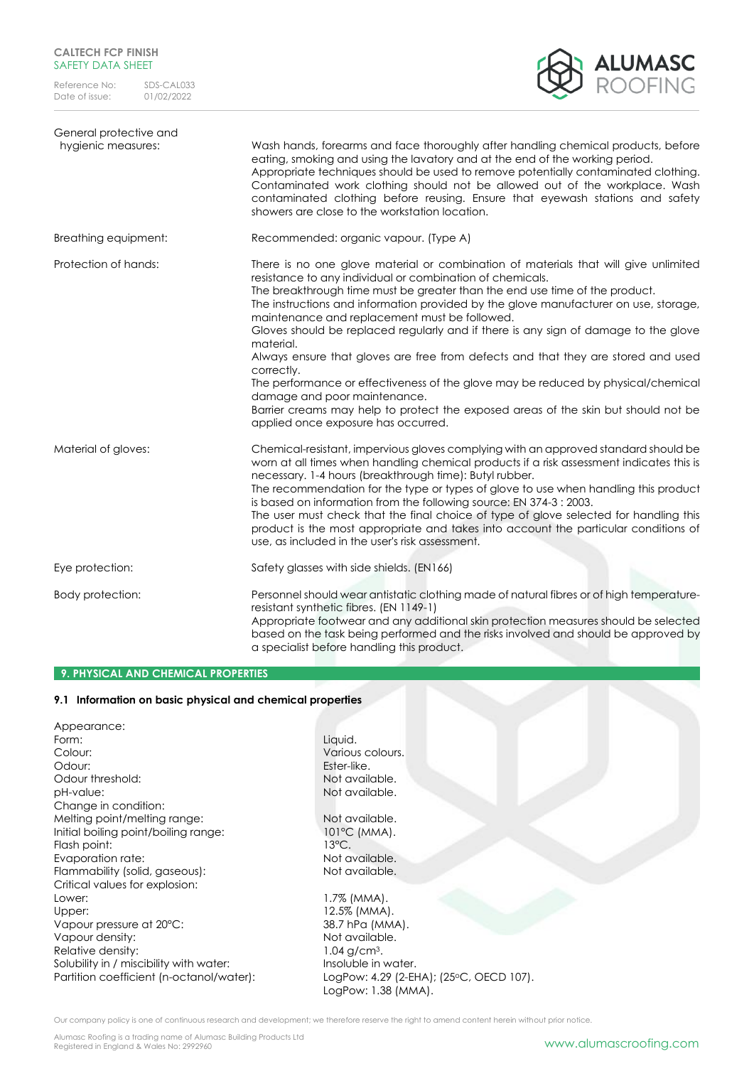

| General protective and<br>hygienic measures: | Wash hands, forearms and face thoroughly after handling chemical products, before<br>eating, smoking and using the lavatory and at the end of the working period.<br>Appropriate techniques should be used to remove potentially contaminated clothing.<br>Contaminated work clothing should not be allowed out of the workplace. Wash<br>contaminated clothing before reusing. Ensure that eyewash stations and safety<br>showers are close to the workstation location.                                                                                                                                                                                                                                                                                                                                                         |
|----------------------------------------------|-----------------------------------------------------------------------------------------------------------------------------------------------------------------------------------------------------------------------------------------------------------------------------------------------------------------------------------------------------------------------------------------------------------------------------------------------------------------------------------------------------------------------------------------------------------------------------------------------------------------------------------------------------------------------------------------------------------------------------------------------------------------------------------------------------------------------------------|
| Breathing equipment:                         | Recommended: organic vapour. (Type A)                                                                                                                                                                                                                                                                                                                                                                                                                                                                                                                                                                                                                                                                                                                                                                                             |
| Protection of hands:                         | There is no one glove material or combination of materials that will give unlimited<br>resistance to any individual or combination of chemicals.<br>The breakthrough time must be greater than the end use time of the product.<br>The instructions and information provided by the glove manufacturer on use, storage,<br>maintenance and replacement must be followed.<br>Gloves should be replaced regularly and if there is any sign of damage to the glove<br>material.<br>Always ensure that gloves are free from defects and that they are stored and used<br>correctly.<br>The performance or effectiveness of the glove may be reduced by physical/chemical<br>damage and poor maintenance.<br>Barrier creams may help to protect the exposed areas of the skin but should not be<br>applied once exposure has occurred. |
| Material of gloves:                          | Chemical-resistant, impervious gloves complying with an approved standard should be<br>worn at all times when handling chemical products if a risk assessment indicates this is<br>necessary. 1-4 hours (breakthrough time): Butyl rubber.<br>The recommendation for the type or types of glove to use when handling this product<br>is based on information from the following source: EN 374-3 : 2003.<br>The user must check that the final choice of type of glove selected for handling this<br>product is the most appropriate and takes into account the particular conditions of<br>use, as included in the user's risk assessment.                                                                                                                                                                                       |
| Eye protection:                              | Safety glasses with side shields. (EN166)                                                                                                                                                                                                                                                                                                                                                                                                                                                                                                                                                                                                                                                                                                                                                                                         |
| Body protection:                             | Personnel should wear antistatic clothing made of natural fibres or of high temperature-<br>resistant synthetic fibres. (EN 1149-1)<br>Appropriate footwear and any additional skin protection measures should be selected<br>based on the task being performed and the risks involved and should be approved by<br>a specialist before handling this product.                                                                                                                                                                                                                                                                                                                                                                                                                                                                    |

# **9. PHYSICAL AND CHEMICAL PROPERTIES**

# **9.1 Information on basic physical and chemical properties**

| Appearance:                              |                                         |
|------------------------------------------|-----------------------------------------|
| Form:                                    | Liquid.                                 |
| Colour:                                  | Various colours.                        |
| Odour:                                   | Ester-like.                             |
| Odour threshold:                         | Not available.                          |
| pH-value:                                | Not available.                          |
| Change in condition:                     |                                         |
| Melting point/melting range:             | Not available.                          |
| Initial boiling point/boiling range:     | $101^{\circ}$ C (MMA).                  |
| Flash point:                             | $13^{\circ}$ C.                         |
| Evaporation rate:                        | Not available.                          |
| Flammability (solid, gaseous):           | Not available.                          |
| Critical values for explosion:           |                                         |
| Lower:                                   | $1.7\%$ (MMA).                          |
| Upper:                                   | 12.5% (MMA).                            |
| Vapour pressure at 20°C:                 | 38.7 hPa (MMA).                         |
| Vapour density:                          | Not available.                          |
| Relative density:                        | $1.04$ g/cm <sup>3</sup> .              |
| Solubility in / miscibility with water:  | Insoluble in water.                     |
| Partition coefficient (n-octanol/water): | LogPow: 4.29 (2-EHA); (25°C, OECD 107). |
|                                          | LogPow: 1.38 (MMA).                     |

Our company policy is one of continuous research and development; we therefore reserve the right to amend content herein without prior notice.

Alumasc Roofing is a trading name of Alumasc Building Products Ltd<br>Registered in England & Wales No: 2992960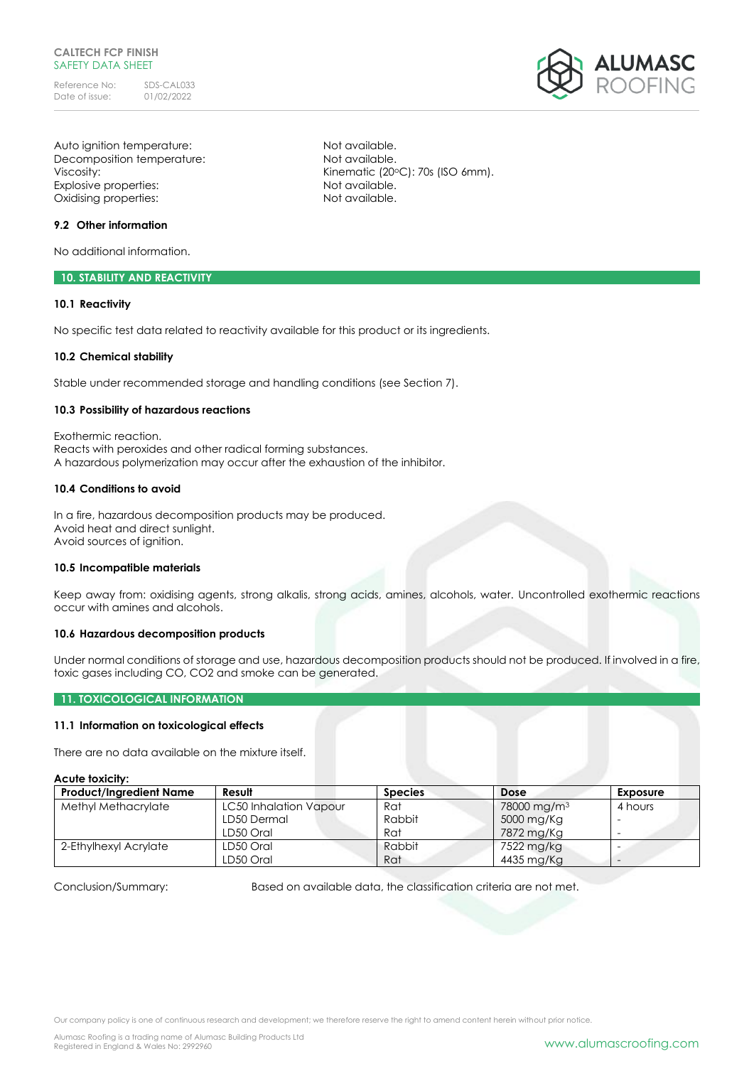# **CALTECH FCP FINISH** SAFETY DATA SHFFT

Reference No: SDS-CAL033<br>Date of issue: 01/02/2022 Date of issue:

Auto ignition temperature: Not available. Decomposition temperature: Not available. Viscosity: Viscosity: Viscosity: Viscosity: Viscosity: Viscosity: Viscosity: Viscosity: Viscosity: Viscosity: Viscosity: Viscosity: Viscosity: Viscosity: Viscosity: Viscosity: Viscosity: Viscosity: Viscosity: Viscosity: Vi Explosive properties: Not available. Oxidising properties: Not available.

# **9.2 Other information**

No additional information.

## **10. STABILITY AND REACTIVITY**

## **10.1 Reactivity**

No specific test data related to reactivity available for this product or its ingredients.

### **10.2 Chemical stability**

Stable under recommended storage and handling conditions (see Section 7).

# **10.3 Possibility of hazardous reactions**

Exothermic reaction. Reacts with peroxides and other radical forming substances. A hazardous polymerization may occur after the exhaustion of the inhibitor.

# **10.4 Conditions to avoid**

In a fire, hazardous decomposition products may be produced. Avoid heat and direct sunlight. Avoid sources of ignition.

### **10.5 Incompatible materials**

Keep away from: oxidising agents, strong alkalis, strong acids, amines, alcohols, water. Uncontrolled exothermic reactions occur with amines and alcohols.

### **10.6 Hazardous decomposition products**

Under normal conditions of storage and use, hazardous decomposition products should not be produced. If involved in a fire, toxic gases including CO, CO2 and smoke can be generated.

# **11. TOXICOLOGICAL INFORMATION**

# **11.1 Information on toxicological effects**

There are no data available on the mixture itself.

### **Acute toxicity:**

| <b>Product/Ingredient Name</b> | Result                        | <b>Species</b> | <b>Dose</b>             | Exposure |
|--------------------------------|-------------------------------|----------------|-------------------------|----------|
| Methyl Methacrylate            | <b>LC50 Inhalation Vapour</b> | Rat            | 78000 mg/m <sup>3</sup> | 4 hours  |
|                                | LD50 Dermal                   | Rabbit         | 5000 mg/Kg              |          |
|                                | LD50 Oral                     | Rat            | 7872 mg/Kg              |          |
| 2-Ethylhexyl Acrylate          | LD50 Oral                     | Rabbit         | 7522 mg/kg              |          |
|                                | LD50 Oral                     | Rat            | 4435 mg/Kg              |          |

Conclusion/Summary: Based on available data, the classification criteria are not met.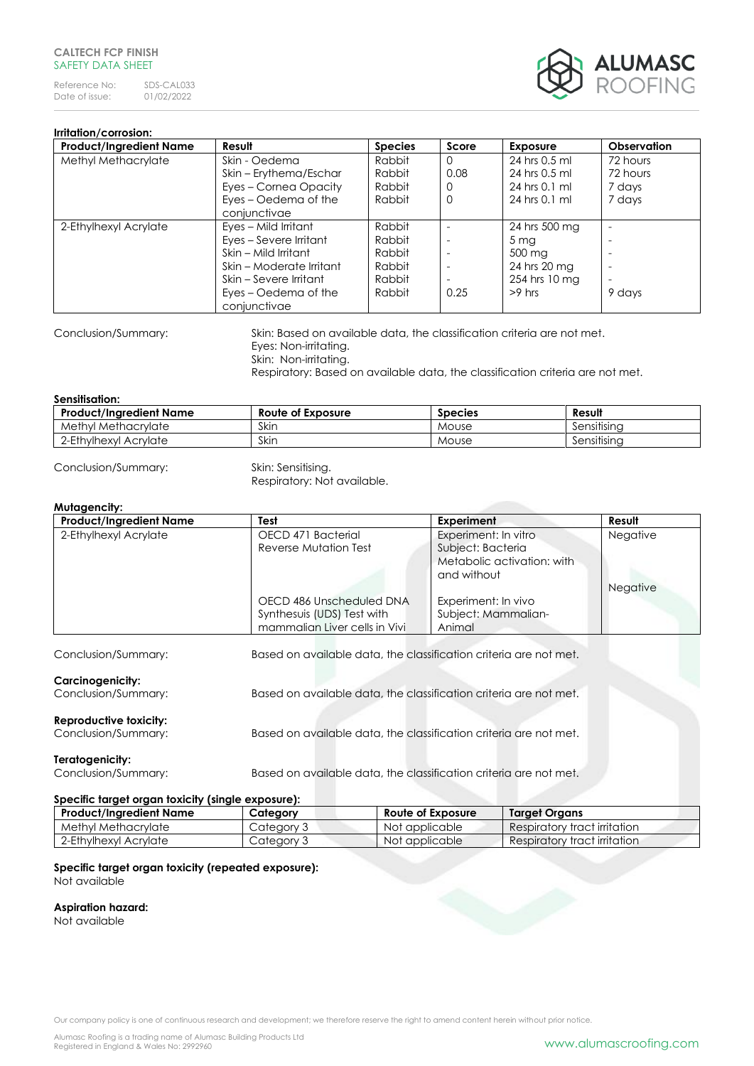# **CALTECH FCP FINISH** SAFFTY DATA SHFFT

Reference No: SDS-CAL033<br>Date of issue: 01/02/2022 Date of issue:



# **Irritation/corrosion:**

| <b>Product/Ingredient Name</b> | Result                   | <b>Species</b> | Score    | <b>Exposure</b> | <b>Observation</b> |
|--------------------------------|--------------------------|----------------|----------|-----------------|--------------------|
| Methyl Methacrylate            | Skin - Oedema            | Rabbit         | $\Omega$ | 24 hrs 0.5 ml   | 72 hours           |
|                                | Skin – Erythema/Eschar   | Rabbit         | 0.08     | 24 hrs 0.5 ml   | 72 hours           |
|                                | Eyes - Cornea Opacity    | Rabbit         | 0        | 24 hrs 0.1 ml   | 7 days             |
|                                | Eyes – Oedema of the     | Rabbit         | 0        | 24 hrs 0.1 ml   | 7 days             |
|                                | conjunctivae             |                |          |                 |                    |
| 2-Ethylhexyl Acrylate          | Eyes - Mild Irritant     | Rabbit         |          | 24 hrs 500 mg   | ٠                  |
|                                | Eyes – Severe Irritant   | Rabbit         |          | 5 <sub>mg</sub> |                    |
|                                | Skin - Mild Irritant     | Rabbit         |          | 500 mg          |                    |
|                                | Skin – Moderate Irritant | Rabbit         |          | 24 hrs 20 mg    | ٠                  |
|                                | Skin – Severe Irritant   | Rabbit         |          | 254 hrs 10 mg   | ٠                  |
|                                | Eyes – Oedema of the     | Rabbit         | 0.25     | $>9$ hrs        | 9 days             |
|                                | conjunctivae             |                |          |                 |                    |

Conclusion/Summary: Skin: Based on available data, the classification criteria are not met. Eyes: Non-irritating. Skin: Non-irritating.

Respiratory: Based on available data, the classification criteria are not met.

### **Sensitisation:**

| <b>Product/Ingredient Name</b> | Route of Exposure | <b>Species</b> | Result      |
|--------------------------------|-------------------|----------------|-------------|
| Methyl Methacrylate            | Skin              | Mouse          | Sensitisina |
| 2-Ethylhexyl Acrylate          | Skin              | Mouse          | Sensitisina |

Conclusion/Summary: Skin: Sensitising.

Respiratory: Not available.

# **Mutagencity:**

| <b>Product/Ingredient Name</b> | Test                                                              | <b>Experiment</b>          | Result   |
|--------------------------------|-------------------------------------------------------------------|----------------------------|----------|
| 2-Ethylhexyl Acrylate          | OECD 471 Bacterial                                                | Experiment: In vitro       | Negative |
|                                | Reverse Mutation Test                                             | Subject: Bacteria          |          |
|                                |                                                                   | Metabolic activation: with |          |
|                                |                                                                   | and without                |          |
|                                |                                                                   |                            | Negative |
|                                | OECD 486 Unscheduled DNA                                          | Experiment: In vivo        |          |
|                                | Synthesuis (UDS) Test with                                        | Subject: Mammalian-        |          |
|                                | mammalian Liver cells in Vivi                                     | Animal                     |          |
|                                |                                                                   |                            |          |
| Conclusion/Summary:            | Based on available data, the classification criteria are not met. |                            |          |
| <b>Carcinogenicity:</b>        |                                                                   |                            |          |
| Conclusion/Summary:            | Based on available data, the classification criteria are not met. |                            |          |
|                                |                                                                   |                            |          |
| <b>Reproductive toxicity:</b>  |                                                                   |                            |          |
| Conclusion/Summary:            | Based on available data, the classification criteria are not met. |                            |          |
|                                |                                                                   |                            |          |
| Teratogenicity:                |                                                                   |                            |          |
| Conclusion/Summary:            | Based on available data, the classification criteria are not met. |                            |          |

# **Specific target organ toxicity (single exposure):**

| Product/Ingredient Name | Category   | <b>Route of Exposure</b> | Target Organs                |
|-------------------------|------------|--------------------------|------------------------------|
| Methyl Methacrylate     | Category 3 | Not applicable           | Respiratory tract irritation |
| 2-Ethylhexyl Acrylate   | Category 3 | Not applicable           | Respiratory tract irritation |

### **Specific target organ toxicity (repeated exposure):** Not available

# **Aspiration hazard:**

Not available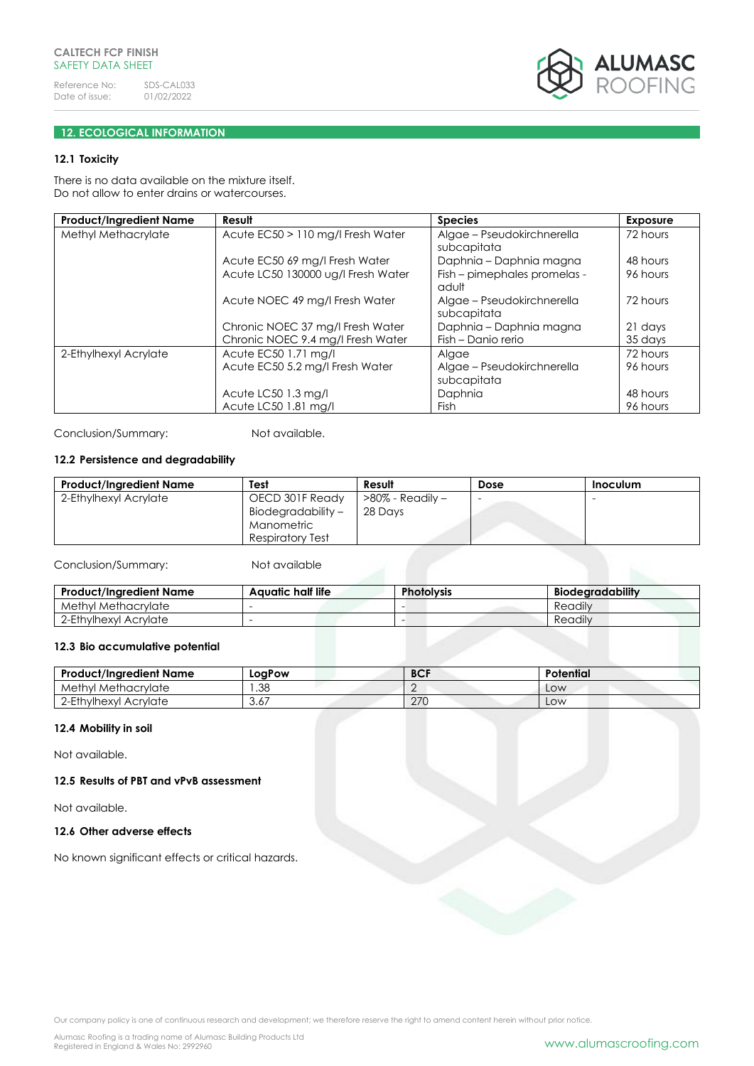

# **12. ECOLOGICAL INFORMATION**

# **12.1 Toxicity**

There is no data available on the mixture itself. Do not allow to enter drains or watercourses.

| <b>Product/Ingredient Name</b> | Result                             | <b>Species</b>               | <b>Exposure</b> |
|--------------------------------|------------------------------------|------------------------------|-----------------|
| Methyl Methacrylate            | Acute EC50 > 110 mg/l Fresh Water  | Algae - Pseudokirchnerella   | 72 hours        |
|                                |                                    | subcapitata                  |                 |
|                                | Acute EC50 69 mg/l Fresh Water     | Daphnia - Daphnia magna      | 48 hours        |
|                                | Acute LC50 130000 ug/l Fresh Water | Fish - pimephales promelas - | 96 hours        |
|                                |                                    | adult                        |                 |
|                                | Acute NOEC 49 mg/l Fresh Water     | Algae – Pseudokirchnerella   | 72 hours        |
|                                |                                    | subcapitata                  |                 |
|                                | Chronic NOEC 37 mg/l Fresh Water   | Daphnia - Daphnia magna      | 21 days         |
|                                | Chronic NOEC 9.4 mg/l Fresh Water  | Fish – Danio rerio           | 35 days         |
| 2-Ethylhexyl Acrylate          | Acute EC50 1.71 mg/l               | Algae                        | 72 hours        |
|                                | Acute EC50 5.2 mg/l Fresh Water    | Algae - Pseudokirchnerella   | 96 hours        |
|                                |                                    | subcapitata                  |                 |
|                                | Acute LC50 1.3 mg/l                | Daphnia                      | 48 hours        |
|                                | Acute LC50 1.81 mg/l               | <b>Fish</b>                  | 96 hours        |

Conclusion/Summary: Not available.

# **12.2 Persistence and degradability**

| <b>Product/Ingredient Name</b> | Test               | Result           | Dose | <b>Inoculum</b> |
|--------------------------------|--------------------|------------------|------|-----------------|
| 2-Ethylhexyl Acrylate          | OECD 301F Ready    | >80% - Readily - |      |                 |
|                                | Biodegradability - | 28 Days          |      |                 |
|                                | Manometric         |                  |      |                 |
|                                | Respiratory Test   |                  |      |                 |

Conclusion/Summary: Not available

| <b>Product/Ingredient Name</b> | Aauatic half life | <b>Photolysis</b> | Biodegradability |
|--------------------------------|-------------------|-------------------|------------------|
| Methyl Methacrylate            |                   |                   | Readily          |
| 2-Ethylhexyl Acrylate          |                   |                   | Readily          |

# **12.3 Bio accumulative potential**

| <b>Product/Ingredient Name</b> | LogPow     | <b>BCF</b> | Potential |
|--------------------------------|------------|------------|-----------|
| Methyl Methacrylate            | .38        | £          | LOW       |
| 2-Ethylhexyl Acrylate          | ົ່<br>3.6, | 270        | LOW       |

## **12.4 Mobility in soil**

Not available.

**12.5 Results of PBT and vPvB assessment**

Not available.

# **12.6 Other adverse effects**

No known significant effects or critical hazards.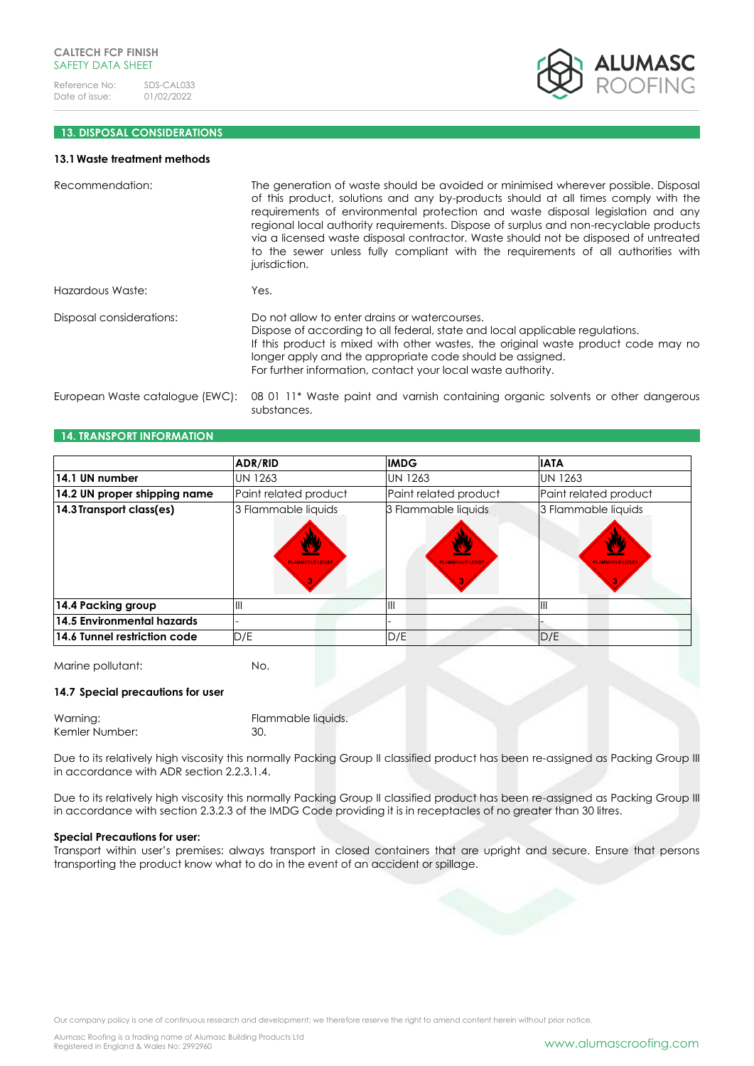

# **13. DISPOSAL CONSIDERATIONS**

### **13.1Waste treatment methods**

| Recommendation:                 | The generation of waste should be avoided or minimised wherever possible. Disposal<br>of this product, solutions and any by-products should at all times comply with the<br>requirements of environmental protection and waste disposal legislation and any<br>regional local authority requirements. Dispose of surplus and non-recyclable products<br>via a licensed waste disposal contractor. Waste should not be disposed of untreated<br>to the sewer unless fully compliant with the requirements of all authorities with<br>jurisdiction. |
|---------------------------------|---------------------------------------------------------------------------------------------------------------------------------------------------------------------------------------------------------------------------------------------------------------------------------------------------------------------------------------------------------------------------------------------------------------------------------------------------------------------------------------------------------------------------------------------------|
| Hazardous Waste:                | Yes.                                                                                                                                                                                                                                                                                                                                                                                                                                                                                                                                              |
| Disposal considerations:        | Do not allow to enter drains or watercourses.<br>Dispose of according to all federal, state and local applicable regulations.<br>If this product is mixed with other wastes, the original waste product code may no<br>longer apply and the appropriate code should be assigned.<br>For further information, contact your local waste authority.                                                                                                                                                                                                  |
| European Waste catalogue (EWC): | 08 01 11 <sup>*</sup> Waste paint and varnish containing organic solvents or other dangerous<br>substances.                                                                                                                                                                                                                                                                                                                                                                                                                                       |

# **14. TRANSPORT INFORMATION**

|                              | ADR/RID                                        | <b>IMDG</b>                                  | <b>IATA</b>                                  |
|------------------------------|------------------------------------------------|----------------------------------------------|----------------------------------------------|
| 14.1 UN number               | <b>UN 1263</b>                                 | <b>UN 1263</b>                               | <b>UN 1263</b>                               |
| 14.2 UN proper shipping name | Paint related product                          | Paint related product                        | Paint related product                        |
| 14.3 Transport class(es)     | 3 Flammable liquids<br><b>FLAMMABLE LIQUID</b> | 3 Flammable liquids<br><b>FLAMMABLE LIQU</b> | 3 Flammable liquids<br><b>FLAMMABLE LIQU</b> |
| 14.4 Packing group           | Ш                                              | $\mathsf{III}$                               | Ш                                            |
| 14.5 Environmental hazards   |                                                |                                              |                                              |
| 14.6 Tunnel restriction code | D/E                                            | D/E                                          | D/E                                          |

Marine pollutant: No.

### **14.7 Special precautions for user**

| Warning:       | Flammable liquids. |
|----------------|--------------------|
| Kemler Number: | 30.                |

Due to its relatively high viscosity this normally Packing Group II classified product has been re-assigned as Packing Group III in accordance with ADR section 2.2.3.1.4.

Due to its relatively high viscosity this normally Packing Group II classified product has been re-assigned as Packing Group III in accordance with section 2.3.2.3 of the IMDG Code providing it is in receptacles of no greater than 30 litres.

### **Special Precautions for user:**

Transport within user's premises: always transport in closed containers that are upright and secure. Ensure that persons transporting the product know what to do in the event of an accident or spillage.